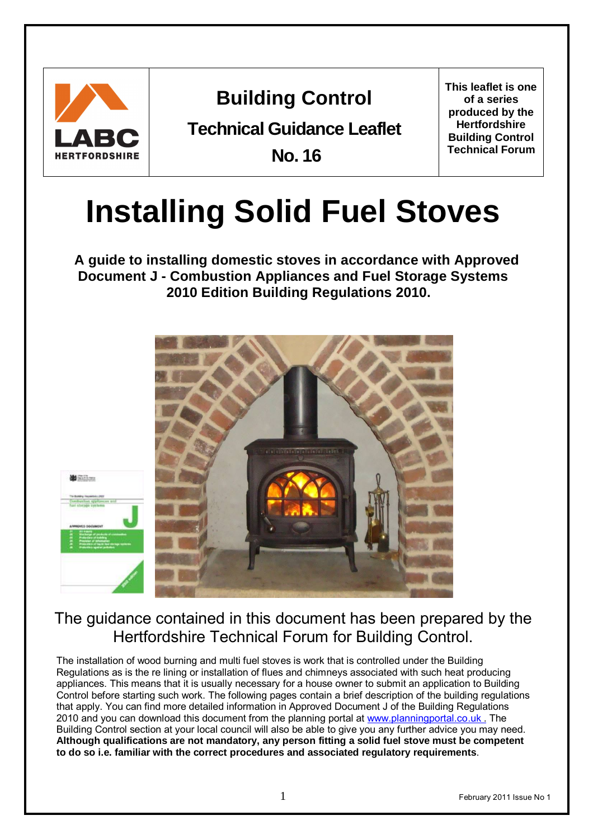

## **Building Control**

 **Technical Guidance Leaflet** 

 **No. 16** 

 **This leaflet is one of a series produced by the Building Control Hertfordshire Technical Forum** 

# **Installing Solid Fuel Stoves**

 **A guide to installing domestic stoves in accordance with Approved Document J - Combustion Appliances and Fuel Storage Systems 2010 Edition Building Regulations 2010.** 



 The guidance contained in this document has been prepared by the Hertfordshire Technical Forum for Building Control.

 The installation of wood burning and multi fuel stoves is work that is controlled under the Building Regulations as is the re lining or installation of flues and chimneys associated with such heat producing appliances. This means that it is usually necessary for a house owner to submit an application to Building Control before starting such work. The following pages contain a brief description of the building regulations that apply. You can find more detailed information in Approved Document J of the Building Regulations 2010 and you can download this document from the planning portal at <u>www.planningportal.co.uk .</u> The Building Control section at your local council will also be able to give you any further advice you may need.  **Although qualifications are not mandatory, any person fitting a solid fuel stove must be competent to do so i.e. familiar with the correct procedures and associated regulatory requirements**.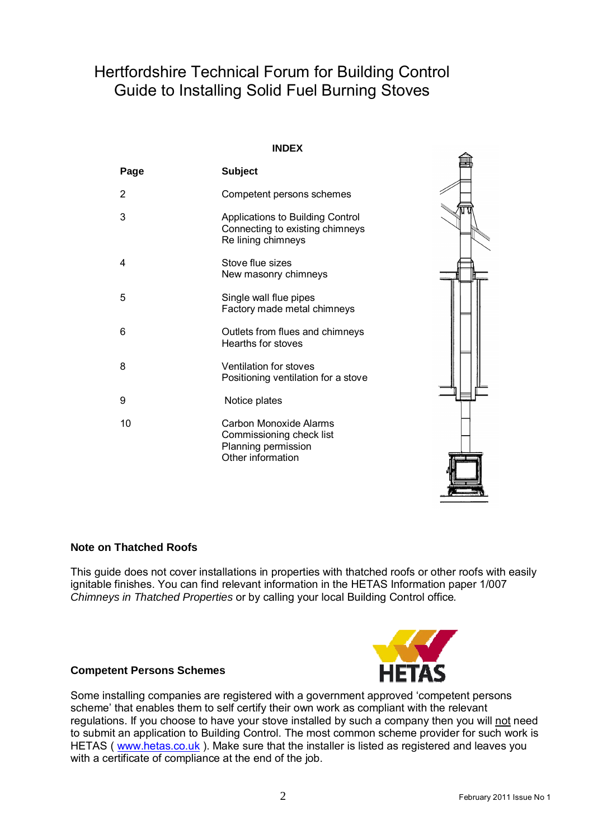### Hertfordshire Technical Forum for Building Control Guide to Installing Solid Fuel Burning Stoves

#### **INDEX**

| Page | <b>Subject</b>                                                                                 |  |
|------|------------------------------------------------------------------------------------------------|--|
| 2    | Competent persons schemes                                                                      |  |
| 3    | Applications to Building Control<br>Connecting to existing chimneys<br>Re lining chimneys      |  |
| 4    | Stove flue sizes<br>New masonry chimneys                                                       |  |
| 5    | Single wall flue pipes<br>Factory made metal chimneys                                          |  |
| 6    | Outlets from flues and chimneys<br>Hearths for stoves                                          |  |
| 8    | <b>Ventilation for stoves</b><br>Positioning ventilation for a stove                           |  |
| 9    | Notice plates                                                                                  |  |
| 10   | Carbon Monoxide Alarms<br>Commissioning check list<br>Planning permission<br>Other information |  |

#### **Note on Thatched Roofs**

 This guide does not cover installations in properties with thatched roofs or other roofs with easily ignitable finishes. You can find relevant information in the HETAS Information paper 1/007  *Chimneys in Thatched Properties* or by calling your local Building Control office*.* 

#### **Competent Persons Schemes**



 Some installing companies are registered with a government approved 'competent persons scheme' that enables them to self certify their own work as compliant with the relevant regulations. If you choose to have your stove installed by such a company then you will <u>not</u> need to submit an application to Building Control. The most common scheme provider for such work is HETAS ( <u>www.hetas.co.uk</u> ). Make sure that the installer is listed as registered and leaves you with a certificate of compliance at the end of the job.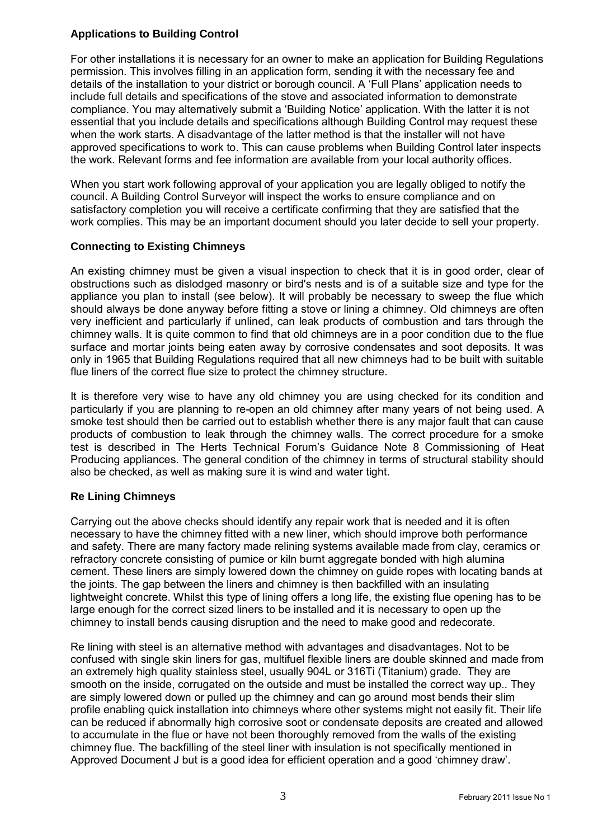#### **Applications to Building Control**

 For other installations it is necessary for an owner to make an application for Building Regulations permission. This involves filling in an application form, sending it with the necessary fee and details of the installation to your district or borough council. A 'Full Plans' application needs to include full details and specifications of the stove and associated information to demonstrate compliance. You may alternatively submit a 'Building Notice' application. With the latter it is not essential that you include details and specifications although Building Control may request these when the work starts. A disadvantage of the latter method is that the installer will not have approved specifications to work to. This can cause problems when Building Control later inspects the work. Relevant forms and fee information are available from your local authority offices.

 When you start work following approval of your application you are legally obliged to notify the council. A Building Control Surveyor will inspect the works to ensure compliance and on satisfactory completion you will receive a certificate confirming that they are satisfied that the work complies. This may be an important document should you later decide to sell your property.

#### **Connecting to Existing Chimneys**

 An existing chimney must be given a visual inspection to check that it is in good order, clear of obstructions such as dislodged masonry or bird's nests and is of a suitable size and type for the appliance you plan to install (see below). It will probably be necessary to sweep the flue which should always be done anyway before fitting a stove or lining a chimney. Old chimneys are often very inefficient and particularly if unlined, can leak products of combustion and tars through the chimney walls. It is quite common to find that old chimneys are in a poor condition due to the flue surface and mortar joints being eaten away by corrosive condensates and soot deposits. It was only in 1965 that Building Regulations required that all new chimneys had to be built with suitable flue liners of the correct flue size to protect the chimney structure.

 It is therefore very wise to have any old chimney you are using checked for its condition and particularly if you are planning to re-open an old chimney after many years of not being used. A smoke test should then be carried out to establish whether there is any major fault that can cause products of combustion to leak through the chimney walls. The correct procedure for a smoke test is described in The Herts Technical Forum's Guidance Note 8 Commissioning of Heat Producing appliances. The general condition of the chimney in terms of structural stability should also be checked, as well as making sure it is wind and water tight.

#### **Re Lining Chimneys**

 Carrying out the above checks should identify any repair work that is needed and it is often necessary to have the chimney fitted with a new liner, which should improve both performance and safety. There are many factory made relining systems available made from clay, ceramics or refractory concrete consisting of pumice or kiln burnt aggregate bonded with high alumina cement. These liners are simply lowered down the chimney on guide ropes with locating bands at the joints. The gap between the liners and chimney is then backfilled with an insulating lightweight concrete. Whilst this type of lining offers a long life, the existing flue opening has to be large enough for the correct sized liners to be installed and it is necessary to open up the chimney to install bends causing disruption and the need to make good and redecorate.

 Re lining with steel is an alternative method with advantages and disadvantages. Not to be confused with single skin liners for gas, multifuel flexible liners are double skinned and made from an extremely high quality stainless steel, usually 904L or 316Ti (Titanium) grade. They are smooth on the inside, corrugated on the outside and must be installed the correct way up.. They are simply lowered down or pulled up the chimney and can go around most bends their slim profile enabling quick installation into chimneys where other systems might not easily fit. Their life can be reduced if abnormally high corrosive soot or condensate deposits are created and allowed to accumulate in the flue or have not been thoroughly removed from the walls of the existing chimney flue. The backfilling of the steel liner with insulation is not specifically mentioned in Approved Document J but is a good idea for efficient operation and a good 'chimney draw'.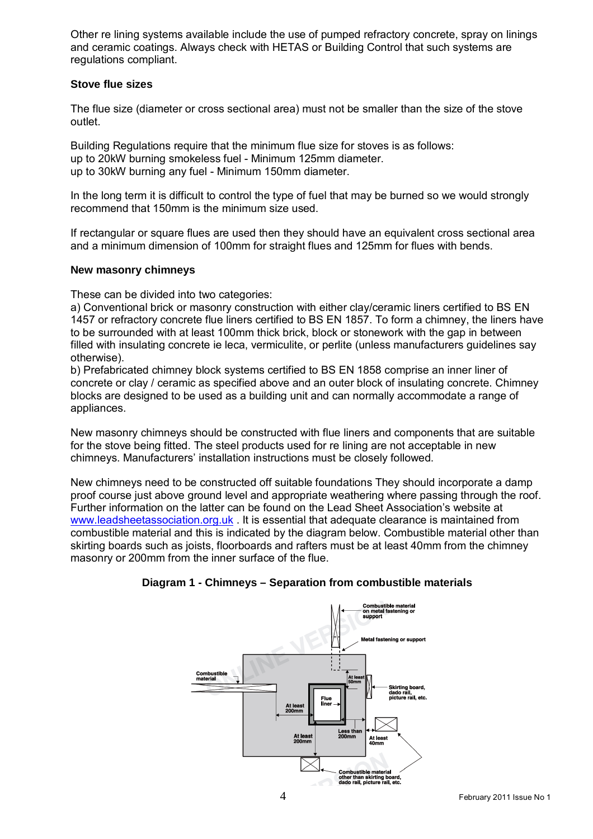Other re lining systems available include the use of pumped refractory concrete, spray on linings and ceramic coatings. Always check with HETAS or Building Control that such systems are regulations compliant.

#### **Stove flue sizes**

The flue size (diameter or cross sectional area) must not be smaller than the size of the stove outlet.

Building Regulations require that the minimum flue size for stoves is as follows: up to 20kW burning smokeless fuel - Minimum 125mm diameter. up to 30kW burning any fuel - Minimum 150mm diameter.

In the long term it is difficult to control the type of fuel that may be burned so we would strongly recommend that 150mm is the minimum size used.

If rectangular or square flues are used then they should have an equivalent cross sectional area and a minimum dimension of 100mm for straight flues and 125mm for flues with bends.

#### **New masonry chimneys**

These can be divided into two categories:

a) Conventional brick or masonry construction with either clay/ceramic liners certified to BS EN 1457 or refractory concrete flue liners certified to BS EN 1857. To form a chimney, the liners have to be surrounded with at least 100mm thick brick, block or stonework with the gap in between filled with insulating concrete ie leca, vermiculite, or perlite (unless manufacturers guidelines say otherwise).

b) Prefabricated chimney block systems certified to BS EN 1858 comprise an inner liner of concrete or clay / ceramic as specified above and an outer block of insulating concrete. Chimney blocks are designed to be used as a building unit and can normally accommodate a range of appliances.

New masonry chimneys should be constructed with flue liners and components that are suitable for the stove being fitted. The steel products used for re lining are not acceptable in new chimneys. Manufacturers' installation instructions must be closely followed.

New chimneys need to be constructed off suitable foundations They should incorporate a damp proof course just above ground level and appropriate weathering where passing through the roof. Further information on the latter can be found on the Lead Sheet Association's website at www.leadsheetassociation.org.uk . It is essential that adequate clearance is maintained from combustible material and this is indicated by the diagram below. Combustible material other than skirting boards such as joists, floorboards and rafters must be at least 40mm from the chimney masonry or 200mm from the inner surface of the flue.



#### **Diagram 1 - Chimneys – Separation from combustible materials**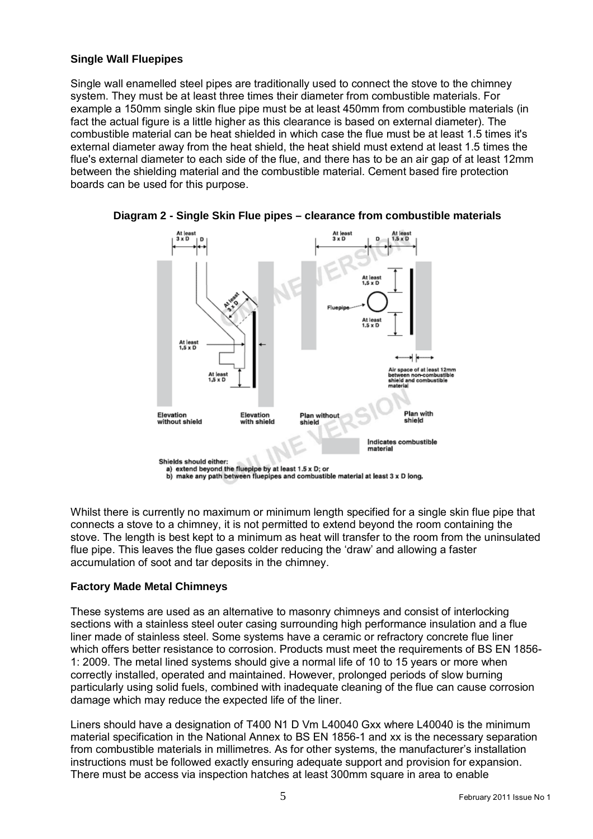#### **Single Wall Fluepipes**

Single wall enamelled steel pipes are traditionally used to connect the stove to the chimney system. They must be at least three times their diameter from combustible materials. For example a 150mm single skin flue pipe must be at least 450mm from combustible materials (in fact the actual figure is a little higher as this clearance is based on external diameter). The combustible material can be heat shielded in which case the flue must be at least 1.5 times it's external diameter away from the heat shield, the heat shield must extend at least 1.5 times the flue's external diameter to each side of the flue, and there has to be an air gap of at least 12mm between the shielding material and the combustible material. Cement based fire protection boards can be used for this purpose.



**Diagram 2 - Single Skin Flue pipes – clearance from combustible materials**

Whilst there is currently no maximum or minimum length specified for a single skin flue pipe that connects a stove to a chimney, it is not permitted to extend beyond the room containing the stove. The length is best kept to a minimum as heat will transfer to the room from the uninsulated flue pipe. This leaves the flue gases colder reducing the 'draw' and allowing a faster accumulation of soot and tar deposits in the chimney.

#### **Factory Made Metal Chimneys**

These systems are used as an alternative to masonry chimneys and consist of interlocking sections with a stainless steel outer casing surrounding high performance insulation and a flue liner made of stainless steel. Some systems have a ceramic or refractory concrete flue liner which offers better resistance to corrosion. Products must meet the requirements of BS EN 1856- 1: 2009. The metal lined systems should give a normal life of 10 to 15 years or more when correctly installed, operated and maintained. However, prolonged periods of slow burning particularly using solid fuels, combined with inadequate cleaning of the flue can cause corrosion damage which may reduce the expected life of the liner.

Liners should have a designation of T400 N1 D Vm L40040 Gxx where L40040 is the minimum material specification in the National Annex to BS EN 1856-1 and xx is the necessary separation from combustible materials in millimetres. As for other systems, the manufacturer's installation instructions must be followed exactly ensuring adequate support and provision for expansion. There must be access via inspection hatches at least 300mm square in area to enable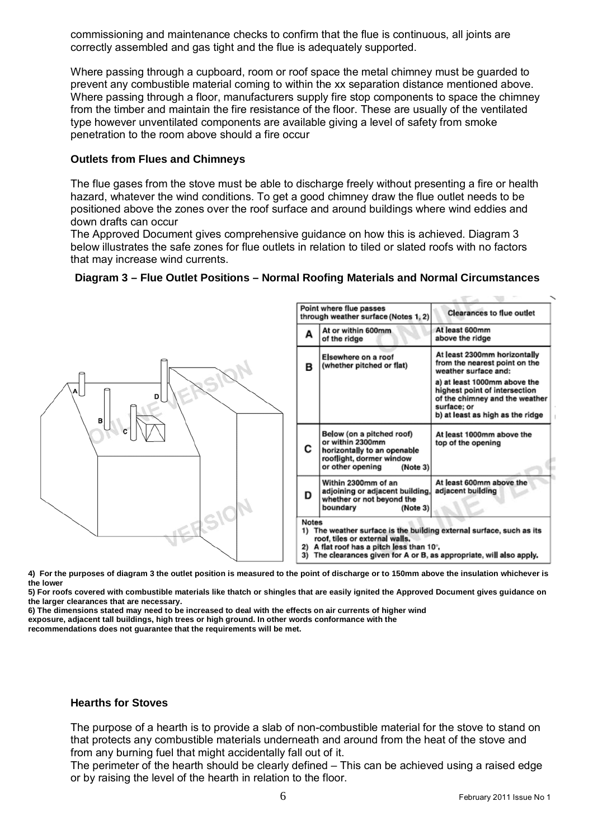commissioning and maintenance checks to confirm that the flue is continuous, all joints are correctly assembled and gas tight and the flue is adequately supported.

Where passing through a cupboard, room or roof space the metal chimney must be guarded to prevent any combustible material coming to within the xx separation distance mentioned above. Where passing through a floor, manufacturers supply fire stop components to space the chimney from the timber and maintain the fire resistance of the floor. These are usually of the ventilated type however unventilated components are available giving a level of safety from smoke penetration to the room above should a fire occur

#### **Outlets from Flues and Chimneys**

The flue gases from the stove must be able to discharge freely without presenting a fire or health hazard, whatever the wind conditions. To get a good chimney draw the flue outlet needs to be positioned above the zones over the roof surface and around buildings where wind eddies and down drafts can occur

The Approved Document gives comprehensive guidance on how this is achieved. Diagram 3 below illustrates the safe zones for flue outlets in relation to tiled or slated roofs with no factors that may increase wind currents.

#### **Diagram 3 – Flue Outlet Positions – Normal Roofing Materials and Normal Circumstances**



**4) For the purposes of diagram 3 the outlet position is measured to the point of discharge or to 150mm above the insulation whichever is the lower**

**5) For roofs covered with combustible materials like thatch or shingles that are easily ignited the Approved Document gives guidance on the larger clearances that are necessary.**

**6) The dimensions stated may need to be increased to deal with the effects on air currents of higher wind** 

**exposure, adjacent tall buildings, high trees or high ground. In other words conformance with the** 

**recommendations does not guarantee that the requirements will be met.**

#### **Hearths for Stoves**

The purpose of a hearth is to provide a slab of non-combustible material for the stove to stand on that protects any combustible materials underneath and around from the heat of the stove and from any burning fuel that might accidentally fall out of it.

The perimeter of the hearth should be clearly defined – This can be achieved using a raised edge or by raising the level of the hearth in relation to the floor.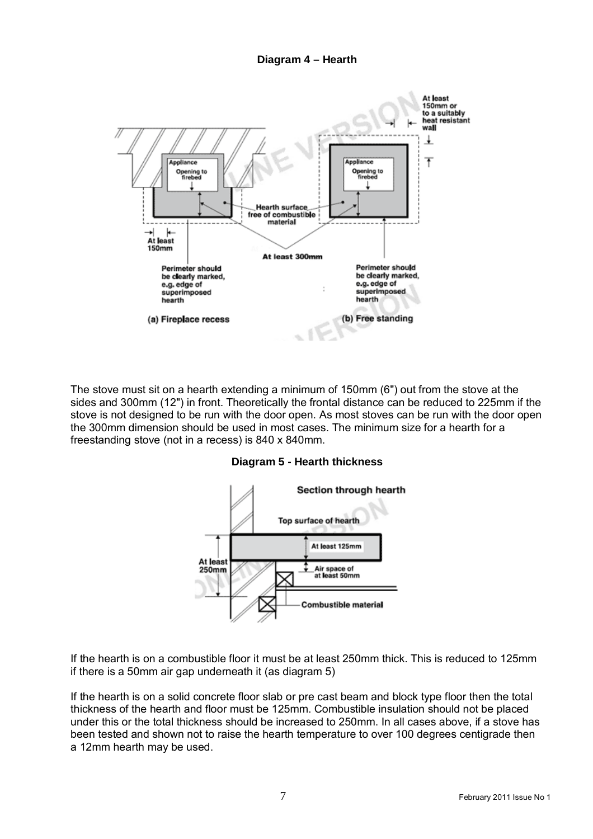

The stove must sit on a hearth extending a minimum of 150mm (6") out from the stove at the sides and 300mm (12") in front. Theoretically the frontal distance can be reduced to 225mm if the stove is not designed to be run with the door open. As most stoves can be run with the door open the 300mm dimension should be used in most cases. The minimum size for a hearth for a freestanding stove (not in a recess) is 840 x 840mm.





If the hearth is on a combustible floor it must be at least 250mm thick. This is reduced to 125mm if there is a 50mm air gap underneath it (as diagram 5)

If the hearth is on a solid concrete floor slab or pre cast beam and block type floor then the total thickness of the hearth and floor must be 125mm. Combustible insulation should not be placed under this or the total thickness should be increased to 250mm. In all cases above, if a stove has been tested and shown not to raise the hearth temperature to over 100 degrees centigrade then a 12mm hearth may be used.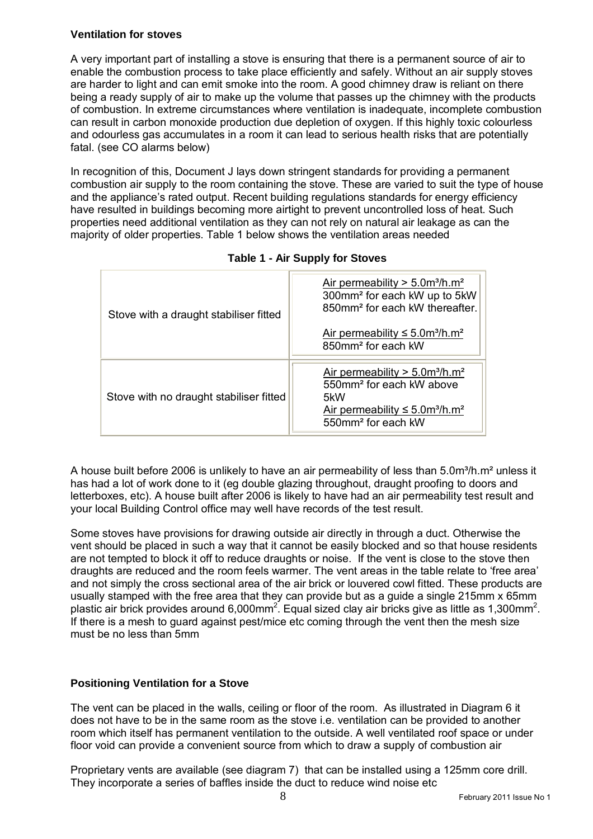#### **Ventilation for stoves**

A very important part of installing a stove is ensuring that there is a permanent source of air to enable the combustion process to take place efficiently and safely. Without an air supply stoves are harder to light and can emit smoke into the room. A good chimney draw is reliant on there being a ready supply of air to make up the volume that passes up the chimney with the products of combustion. In extreme circumstances where ventilation is inadequate, incomplete combustion can result in carbon monoxide production due depletion of oxygen. If this highly toxic colourless and odourless gas accumulates in a room it can lead to serious health risks that are potentially fatal. (see CO alarms below)

In recognition of this, Document J lays down stringent standards for providing a permanent combustion air supply to the room containing the stove. These are varied to suit the type of house and the appliance's rated output. Recent building regulations standards for energy efficiency have resulted in buildings becoming more airtight to prevent uncontrolled loss of heat. Such properties need additional ventilation as they can not rely on natural air leakage as can the majority of older properties. Table 1 below shows the ventilation areas needed

| Stove with a draught stabiliser fitted  | Air permeability $> 5.0$ m <sup>3</sup> /h.m <sup>2</sup><br>300mm <sup>2</sup> for each kW up to 5kW<br>850mm <sup>2</sup> for each kW thereafter.                                                        |  |  |
|-----------------------------------------|------------------------------------------------------------------------------------------------------------------------------------------------------------------------------------------------------------|--|--|
|                                         | Air permeability $\leq 5.0$ m <sup>3</sup> /h.m <sup>2</sup><br>850mm <sup>2</sup> for each kW                                                                                                             |  |  |
| Stove with no draught stabiliser fitted | Air permeability $> 5.0$ m <sup>3</sup> /h.m <sup>2</sup><br>550mm <sup>2</sup> for each kW above<br>5kW<br>Air permeability $\leq 5.0$ m <sup>3</sup> /h.m <sup>2</sup><br>550mm <sup>2</sup> for each kW |  |  |

|  | <b>Table 1 - Air Supply for Stoves</b> |  |
|--|----------------------------------------|--|
|  |                                        |  |

A house built before 2006 is unlikely to have an air permeability of less than 5.0m<sup>3</sup>/h.m<sup>2</sup> unless it has had a lot of work done to it (eg double glazing throughout, draught proofing to doors and letterboxes, etc). A house built after 2006 is likely to have had an air permeability test result and your local Building Control office may well have records of the test result.

Some stoves have provisions for drawing outside air directly in through a duct. Otherwise the vent should be placed in such a way that it cannot be easily blocked and so that house residents are not tempted to block it off to reduce draughts or noise. If the vent is close to the stove then draughts are reduced and the room feels warmer. The vent areas in the table relate to 'free area' and not simply the cross sectional area of the air brick or louvered cowl fitted. These products are usually stamped with the free area that they can provide but as a guide a single 215mm x 65mm plastic air brick provides around 6,000mm<sup>2</sup>. Equal sized clay air bricks give as little as 1,300mm<sup>2</sup>. If there is a mesh to guard against pest/mice etc coming through the vent then the mesh size must be no less than 5mm

#### **Positioning Ventilation for a Stove**

The vent can be placed in the walls, ceiling or floor of the room. As illustrated in Diagram 6 it does not have to be in the same room as the stove i.e. ventilation can be provided to another room which itself has permanent ventilation to the outside. A well ventilated roof space or under floor void can provide a convenient source from which to draw a supply of combustion air

Proprietary vents are available (see diagram 7) that can be installed using a 125mm core drill. They incorporate a series of baffles inside the duct to reduce wind noise etc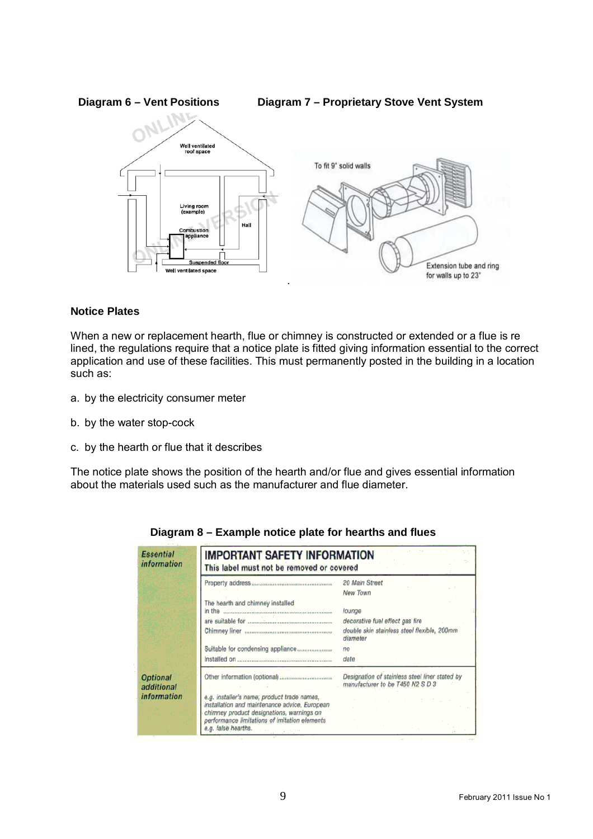

#### **Notice Plates**

When a new or replacement hearth, flue or chimney is constructed or extended or a flue is re lined, the regulations require that a notice plate is fitted giving information essential to the correct application and use of these facilities. This must permanently posted in the building in a location such as:

- a. by the electricity consumer meter
- b. by the water stop-cock
- c. by the hearth or flue that it describes

The notice plate shows the position of the hearth and/or flue and gives essential information about the materials used such as the manufacturer and flue diameter.

| <b>Essential</b><br>information | <b>IMPORTANT SAFETY INFORMATION</b><br>This label must not be removed or covered                                                          |                                                                                            |  |  |  |
|---------------------------------|-------------------------------------------------------------------------------------------------------------------------------------------|--------------------------------------------------------------------------------------------|--|--|--|
|                                 |                                                                                                                                           | 20 Main Street<br>New Town                                                                 |  |  |  |
|                                 | The hearth and chimney installed                                                                                                          | lounge                                                                                     |  |  |  |
|                                 |                                                                                                                                           | decorative fuel effect gas fire<br>double skin stainless steel flexible, 200mm<br>diameter |  |  |  |
|                                 | Suitable for condensing appliance                                                                                                         | no<br>date                                                                                 |  |  |  |
| <b>Optional</b><br>additional   | Other information (optional)                                                                                                              | Designation of stainless steel liner stated by<br>manufacturer to be T450 N2 S D 3         |  |  |  |
| information                     | e.g. installer's name; product trade names,<br>installation and maintenance advice, European<br>chimney product designations, warnings on |                                                                                            |  |  |  |
|                                 | performance limitations of imitation elements<br>e.g. false hearths.                                                                      |                                                                                            |  |  |  |

**Diagram 8 – Example notice plate for hearths and flues**